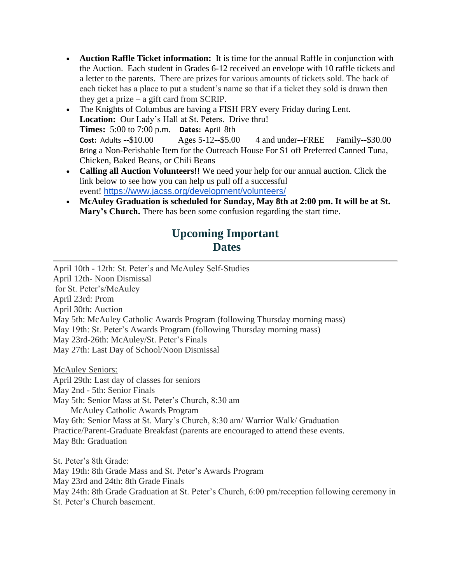- **Auction Raffle Ticket information:** It is time for the annual Raffle in conjunction with the Auction. Each student in Grades 6-12 received an envelope with 10 raffle tickets and a letter to the parents. There are prizes for various amounts of tickets sold. The back of each ticket has a place to put a student's name so that if a ticket they sold is drawn then they get a prize – a gift card from SCRIP.
- The Knights of Columbus are having a FISH FRY every Friday during Lent. Location: Our Lady's Hall at St. Peters. Drive thru! **Times:** 5:00 to 7:00 p.m. **Dates:** April 8th **Cost:** Adults --\$10.00 Ages 5-12--\$5.00 4 and under--FREE Family--\$30.00 Bring a Non-Perishable Item for the Outreach House For \$1 off Preferred Canned Tuna, Chicken, Baked Beans, or Chili Beans
- **Calling all Auction Volunteers!!** We need your help for our annual auction. Click the link below to see how you can help us pull off a successful event! <https://www.jacss.org/development/volunteers/>
- **McAuley Graduation is scheduled for Sunday, May 8th at 2:00 pm. It will be at St. Mary's Church.** There has been some confusion regarding the start time.

## **Upcoming Important Dates**

April 10th - 12th: St. Peter's and McAuley Self-Studies April 12th- Noon Dismissal for St. Peter's/McAuley April 23rd: Prom April 30th: Auction May 5th: McAuley Catholic Awards Program (following Thursday morning mass) May 19th: St. Peter's Awards Program (following Thursday morning mass) May 23rd-26th: McAuley/St. Peter's Finals May 27th: Last Day of School/Noon Dismissal

McAuley Seniors:

April 29th: Last day of classes for seniors

May 2nd - 5th: Senior Finals

May 5th: Senior Mass at St. Peter's Church, 8:30 am

McAuley Catholic Awards Program

May 6th: Senior Mass at St. Mary's Church, 8:30 am/ Warrior Walk/ Graduation Practice/Parent-Graduate Breakfast (parents are encouraged to attend these events. May 8th: Graduation

St. Peter's 8th Grade: May 19th: 8th Grade Mass and St. Peter's Awards Program May 23rd and 24th: 8th Grade Finals May 24th: 8th Grade Graduation at St. Peter's Church, 6:00 pm/reception following ceremony in St. Peter's Church basement.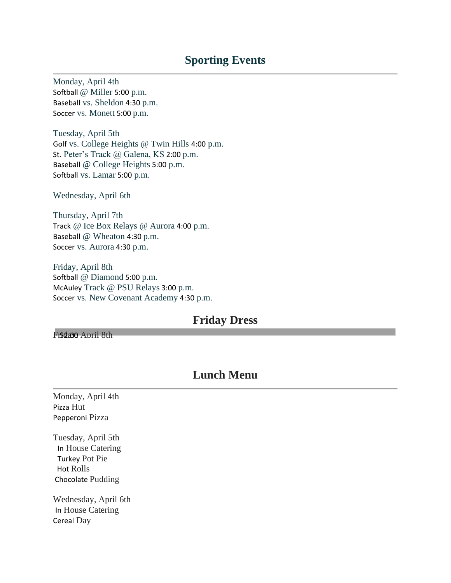## **Sporting Events**

Monday, April 4th Softball @ Miller 5:00 p.m. Baseball vs. Sheldon 4:30 p.m. Soccer vs. Monett 5:00 p.m.

Tuesday, April 5th Golf vs. College Heights @ Twin Hills 4:00 p.m. St. Peter's Track @ Galena, KS 2:00 p.m. Baseball @ College Heights 5:00 p.m. Softball vs. Lamar 5:00 p.m.

Wednesday, April 6th

Thursday, April 7th Track @ Ice Box Relays @ Aurora 4:00 p.m. Baseball @ Wheaton 4:30 p.m. Soccer vs. Aurora 4:30 p.m.

Friday, April 8th Softball @ Diamond 5:00 p.m. McAuley Track @ PSU Relays 3:00 p.m. Soccer vs. New Covenant Academy 4:30 p.m.

## **Friday Dress**

Frsdano April 8th

## **Lunch Menu**

Monday, April 4th Pizza Hut Pepperoni Pizza

Tuesday, April 5th In House Catering Turkey Pot Pie Hot Rolls Chocolate Pudding

Wednesday, April 6th In House Catering Cereal Day